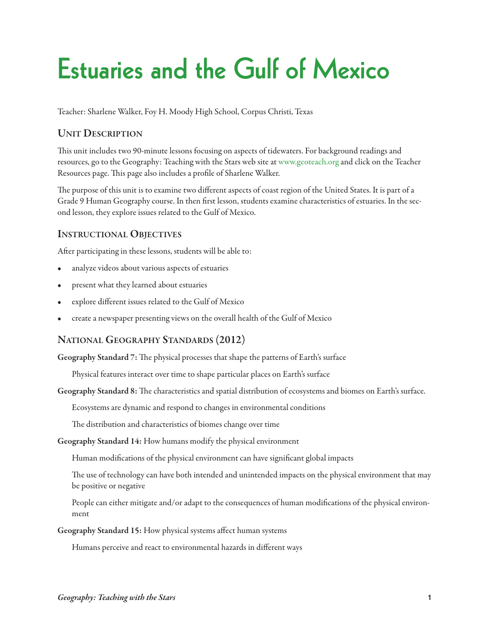# **Estuaries and the Gulf of Mexico**

Teacher: Sharlene Walker, Foy H. Moody High School, Corpus Christi, Texas

# **Unit Description**

This unit includes two 90-minute lessons focusing on aspects of tidewaters. For background readings and resources, go to the Geography: Teaching with the Stars web site at [www.geoteach.org](http://geoteach.org) and click on the Teacher Resources page. This page also includes a profile of Sharlene Walker.

The purpose of this unit is to examine two different aspects of coast region of the United States. It is part of a Grade 9 Human Geography course. In then first lesson, students examine characteristics of estuaries. In the second lesson, they explore issues related to the Gulf of Mexico.

### **INSTRUCTIONAL OBJECTIVES**

After participating in these lessons, students will be able to:

- analyze videos about various aspects of estuaries
- present what they learned about estuaries
- explore different issues related to the Gulf of Mexico
- create a newspaper presenting views on the overall health of the Gulf of Mexico

### **national GeoGraphy stanDarDs (2012)**

Geography Standard 7: The physical processes that shape the patterns of Earth's surface

Physical features interact over time to shape particular places on Earth's surface

Geography Standard 8: The characteristics and spatial distribution of ecosystems and biomes on Earth's surface.

Ecosystems are dynamic and respond to changes in environmental conditions

The distribution and characteristics of biomes change over time

**Geography standard 14:** How humans modify the physical environment

Human modifications of the physical environment can have significant global impacts

The use of technology can have both intended and unintended impacts on the physical environment that may be positive or negative

People can either mitigate and/or adapt to the consequences of human modifications of the physical environment

**Geography standard 15:** How physical systems affect human systems

Humans perceive and react to environmental hazards in different ways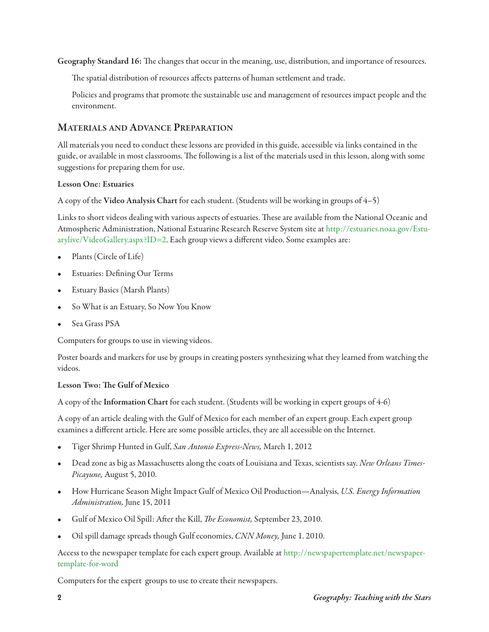Geography Standard 16: The changes that occur in the meaning, use, distribution, and importance of resources.

The spatial distribution of resources affects patterns of human settlement and trade.

Policies and programs that promote the sustainable use and management of resources impact people and the environment.

# **Materials anD aDvance preparation**

All materials you need to conduct these lessons are provided in this guide, accessible via links contained in the guide, or available in most classrooms. The following is a list of the materials used in this lesson, along with some suggestions for preparing them for use.

#### **lesson one: estuaries**

A copy of the **video analysis chart** for each student. (Students will be working in groups of 4–5)

Links to short videos dealing with various aspects of estuaries. These are available from the National Oceanic and Atmospheric Administration, National Estuarine Research Reserve System site at [http://estuaries.noaa.gov/Estu](http://estuaries.noaa.gov/Estuarylive/VideoGallery.aspx?ID=2)[arylive/VideoGallery.aspx?ID=2.](http://estuaries.noaa.gov/Estuarylive/VideoGallery.aspx?ID=2) Each group views a different video. Some examples are:

- Plants (Circle of Life)
- Estuaries: Defining Our Terms
- Estuary Basics (Marsh Plants)
- So What is an Estuary, So Now You Know
- Sea Grass PSA

Computers for groups to use in viewing videos.

Poster boards and markers for use by groups in creating posters synthesizing what they learned from watching the videos.

#### **lesson two: e Gulf of Mexico**

A copy of the **information chart** for each student. (Students will be working in expert groups of 4-6)

A copy of an article dealing with the Gulf of Mexico for each member of an expert group. Each expert group examines a different article. Here are some possible articles, they are all accessible on the Internet.

- Tiger Shrimp Hunted in Gulf, San Antonio Express-News, March 1, 2012
- Dead zone as big as Massachusetts along the coats of Louisiana and Texas, scientists say. New Orleans Times-Picayune, August 5, 2010.
- How Hurricane Season Might Impact Gulf of Mexico Oil Production—Analysis, U.S. Energy Information Administration, June 15, 2011
- Gulf of Mexico Oil Spill: After the Kill, *The Economist*, September 23, 2010.
- Oil spill damage spreads though Gulf economies, CNN Money, June 1. 2010.

Access to the newspaper template for each expert group. Available at [http://newspapertemplate.net/newspaper](http://newspapertemplate.net/newspaper-template-for-word)[template-for-word](http://newspapertemplate.net/newspaper-template-for-word)

Computers for the expert groups to use to create their newspapers.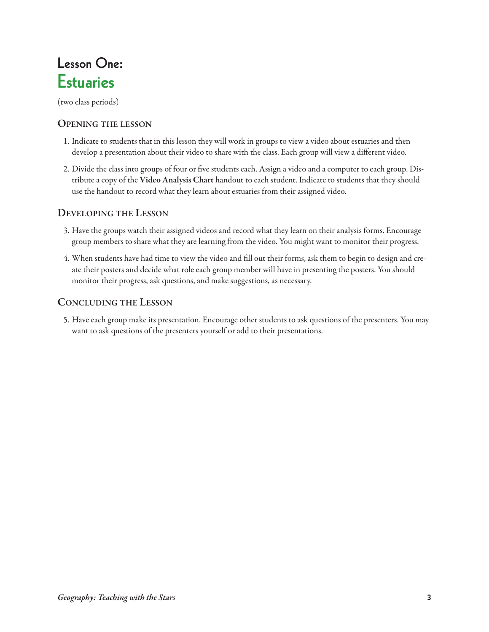# **Lesson One: Estuaries**

(two class periods)

#### **openinG the lesson**

- 1. Indicate to students that in this lesson they will work in groups to view a video about estuaries and then develop a presentation about their video to share with the class. Each group will view a different video.
- 2. Divide the class into groups of four or five students each. Assign a video and a computer to each group. Distribute a copy of the **video analysis chart** handout to each student. Indicate to students that they should use the handout to record what they learn about estuaries from their assigned video.

### **DevelopinG the lesson**

- 3. Have the groups watch their assigned videos and record what they learn on their analysis forms. Encourage group members to share what they are learning from the video. You might want to monitor their progress.
- 4. When students have had time to view the video and fill out their forms, ask them to begin to design and create their posters and decide what role each group member will have in presenting the posters. You should monitor their progress, ask questions, and make suggestions, as necessary.

### **conclUDinG the lesson**

5. Have each group make its presentation. Encourage other students to ask questions of the presenters. You may want to ask questions of the presenters yourself or add to their presentations.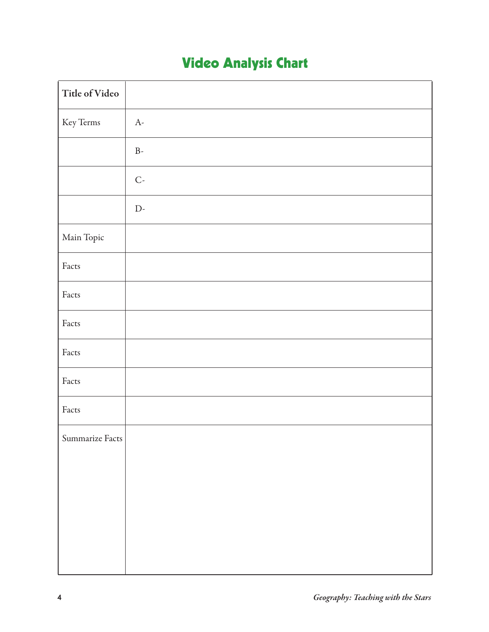# **Video Analysis Chart**

| Title of Video  |                      |
|-----------------|----------------------|
| Key Terms       | A-                   |
|                 | $\rm B$ -            |
|                 | $\mathsf{C}\text{-}$ |
|                 | $\mathbf{D}$ -       |
| Main Topic      |                      |
| Facts           |                      |
| Facts           |                      |
| Facts           |                      |
| Facts           |                      |
| Facts           |                      |
| Facts           |                      |
| Summarize Facts |                      |
|                 |                      |
|                 |                      |
|                 |                      |
|                 |                      |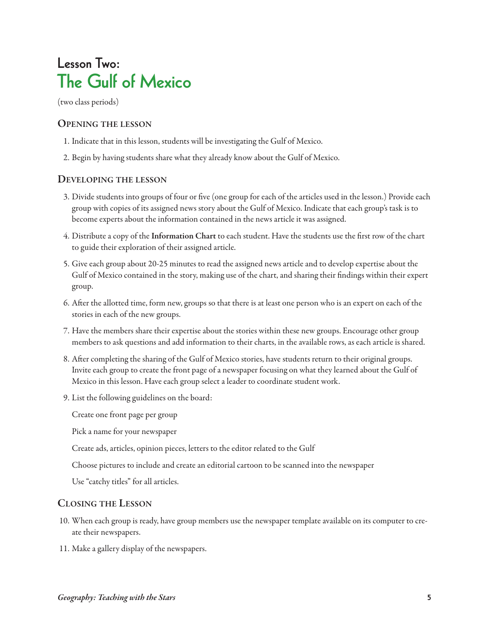# **Lesson Two: The Gulf of Mexico**

(two class periods)

#### **openinG the lesson**

- 1. Indicate that in this lesson, students will be investigating the Gulf of Mexico.
- 2. Begin by having students share what they already know about the Gulf of Mexico.

#### **DevelopinG the lesson**

- 3. Divide students into groups of four or five (one group for each of the articles used in the lesson.) Provide each group with copies of its assigned news story about the Gulf of Mexico. Indicate that each group's task is to become experts about the information contained in the news article it was assigned.
- 4. Distribute a copy of the **information chart** to each student. Have the students use the first row of the chart to guide their exploration of their assigned article.
- 5. Give each group about 20-25 minutes to read the assigned news article and to develop expertise about the Gulf of Mexico contained in the story, making use of the chart, and sharing their findings within their expert group.
- 6. After the allotted time, form new, groups so that there is at least one person who is an expert on each of the stories in each of the new groups.
- 7. Have the members share their expertise about the stories within these new groups. Encourage other group members to ask questions and add information to their charts, in the available rows, as each article is shared.
- 8. After completing the sharing of the Gulf of Mexico stories, have students return to their original groups. Invite each group to create the front page of a newspaper focusing on what they learned about the Gulf of Mexico in this lesson. Have each group select a leader to coordinate student work.
- 9. List the following guidelines on the board:

Create one front page per group

Pick a name for your newspaper

Create ads, articles, opinion pieces, letters to the editor related to the Gulf

Choose pictures to include and create an editorial cartoon to be scanned into the newspaper

Use "catchy titles" for all articles.

#### **closinG the lesson**

- 10. When each group is ready, have group members use the newspaper template available on its computer to create their newspapers.
- 11. Make a gallery display of the newspapers.